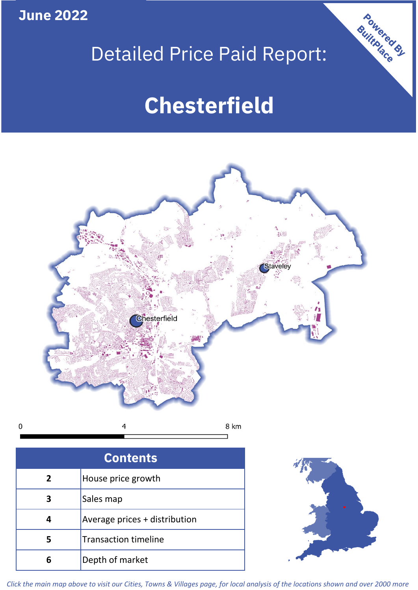**June 2022**

 $\mathbf 0$ 

# Detailed Price Paid Report:

# **Chesterfield**



| <b>Contents</b> |                               |  |  |
|-----------------|-------------------------------|--|--|
| $\mathbf{2}$    | House price growth            |  |  |
| 3               | Sales map                     |  |  |
|                 | Average prices + distribution |  |  |
| 5               | <b>Transaction timeline</b>   |  |  |
|                 | Depth of market               |  |  |



Powered By

*Click the main map above to visit our Cities, Towns & Villages page, for local analysis of the locations shown and over 2000 more*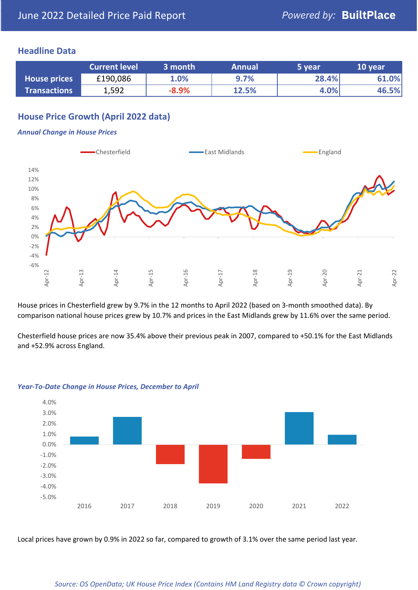## **Headline Data**

|                     | <b>Current level</b> | 3 month | <b>Annual</b> | 5 year | 10 year |
|---------------------|----------------------|---------|---------------|--------|---------|
| <b>House prices</b> | £190,086             | 1.0%    | 9.7%          | 28.4%  | 61.0%   |
| <b>Transactions</b> | 1,592                | $-8.9%$ | 12.5%         | 4.0%   | 46.5%   |

# **House Price Growth (April 2022 data)**

#### *Annual Change in House Prices*



House prices in Chesterfield grew by 9.7% in the 12 months to April 2022 (based on 3-month smoothed data). By comparison national house prices grew by 10.7% and prices in the East Midlands grew by 11.6% over the same period.

Chesterfield house prices are now 35.4% above their previous peak in 2007, compared to +50.1% for the East Midlands and +52.9% across England.



#### *Year-To-Date Change in House Prices, December to April*

Local prices have grown by 0.9% in 2022 so far, compared to growth of 3.1% over the same period last year.

#### *Source: OS OpenData; UK House Price Index (Contains HM Land Registry data © Crown copyright)*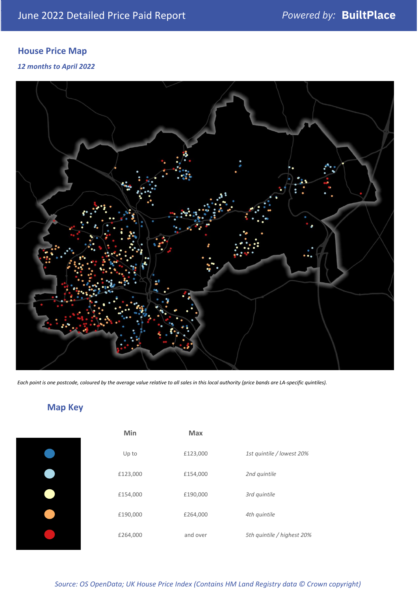# **House Price Map**

*12 months to April 2022*



*Each point is one postcode, coloured by the average value relative to all sales in this local authority (price bands are LA-specific quintiles).*

**Map Key**

| Min      | <b>Max</b> |                            |
|----------|------------|----------------------------|
| Up to    | £123,000   | 1st quintile / lowest 20%  |
| £123,000 | £154,000   | 2nd quintile               |
| £154,000 | £190,000   | 3rd quintile               |
| £190,000 | £264,000   | 4th quintile               |
| £264,000 | and over   | 5th quintile / highest 20% |

#### *Source: OS OpenData; UK House Price Index (Contains HM Land Registry data © Crown copyright)*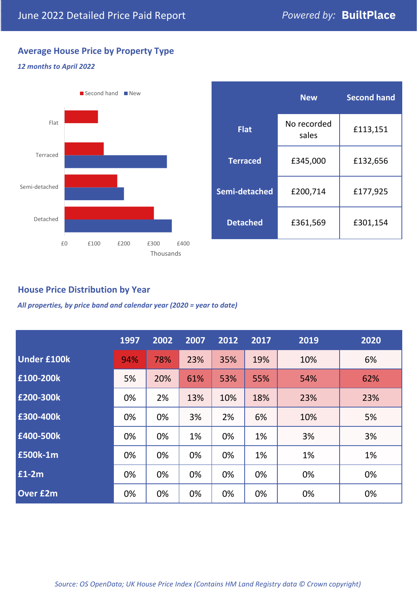# **Average House Price by Property Type**

### *12 months to April 2022*



|                 | <b>New</b>           | <b>Second hand</b> |  |  |
|-----------------|----------------------|--------------------|--|--|
| <b>Flat</b>     | No recorded<br>sales | £113,151           |  |  |
| <b>Terraced</b> | £345,000             | £132,656           |  |  |
| Semi-detached   | £200,714             | £177,925           |  |  |
| <b>Detached</b> | £361,569             | £301,154           |  |  |

# **House Price Distribution by Year**

*All properties, by price band and calendar year (2020 = year to date)*

|                    | 1997 | 2002 | 2007 | 2012 | 2017 | 2019 | 2020 |
|--------------------|------|------|------|------|------|------|------|
| <b>Under £100k</b> | 94%  | 78%  | 23%  | 35%  | 19%  | 10%  | 6%   |
| £100-200k          | 5%   | 20%  | 61%  | 53%  | 55%  | 54%  | 62%  |
| E200-300k          | 0%   | 2%   | 13%  | 10%  | 18%  | 23%  | 23%  |
| £300-400k          | 0%   | 0%   | 3%   | 2%   | 6%   | 10%  | 5%   |
| £400-500k          | 0%   | 0%   | 1%   | 0%   | 1%   | 3%   | 3%   |
| <b>£500k-1m</b>    | 0%   | 0%   | 0%   | 0%   | 1%   | 1%   | 1%   |
| £1-2m              | 0%   | 0%   | 0%   | 0%   | 0%   | 0%   | 0%   |
| <b>Over £2m</b>    | 0%   | 0%   | 0%   | 0%   | 0%   | 0%   | 0%   |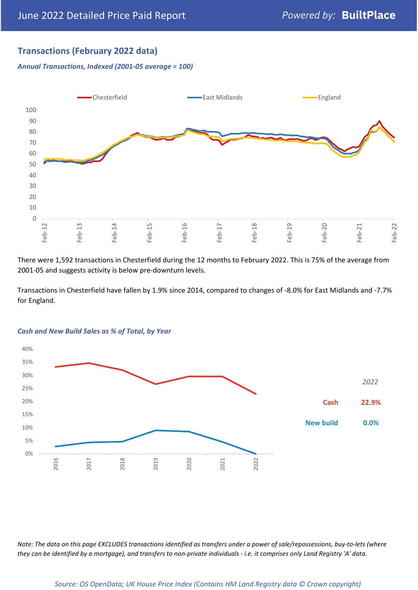# **Transactions (February 2022 data)**

*Annual Transactions, Indexed (2001-05 average = 100)*



There were 1,592 transactions in Chesterfield during the 12 months to February 2022. This is 75% of the average from 2001-05 and suggests activity is below pre-downturn levels.

Transactions in Chesterfield have fallen by 1.9% since 2014, compared to changes of -8.0% for East Midlands and -7.7% for England.



#### *Cash and New Build Sales as % of Total, by Year*

*Note: The data on this page EXCLUDES transactions identified as transfers under a power of sale/repossessions, buy-to-lets (where they can be identified by a mortgage), and transfers to non-private individuals - i.e. it comprises only Land Registry 'A' data.*